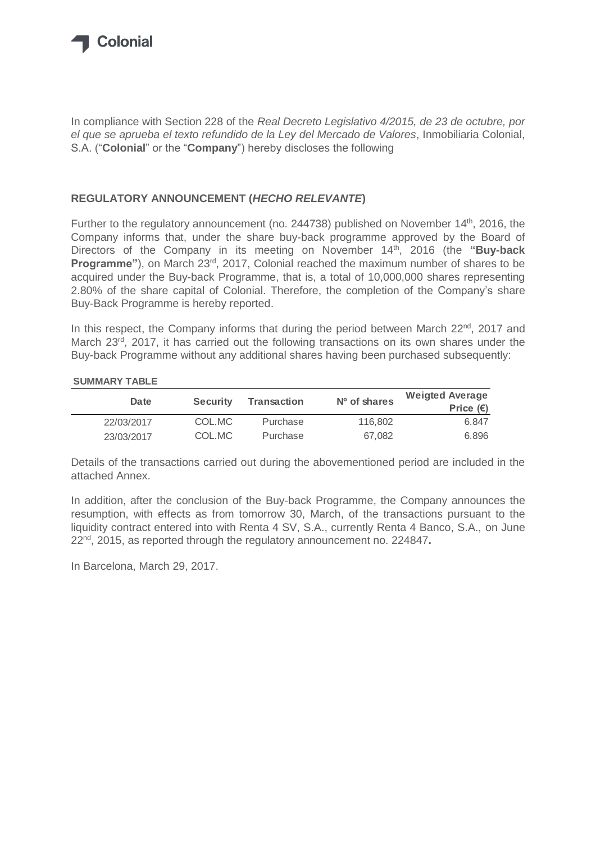

In compliance with Section 228 of the *Real Decreto Legislativo 4/2015, de 23 de octubre, por el que se aprueba el texto refundido de la Ley del Mercado de Valores*, Inmobiliaria Colonial, S.A. ("**Colonial**" or the "**Company**") hereby discloses the following

#### **REGULATORY ANNOUNCEMENT (***HECHO RELEVANTE***)**

Further to the regulatory announcement (no. 244738) published on November  $14<sup>th</sup>$ , 2016, the Company informs that, under the share buy-back programme approved by the Board of Directors of the Company in its meeting on November 14th, 2016 (the **"Buy-back**  Programme"), on March 23<sup>rd</sup>, 2017, Colonial reached the maximum number of shares to be acquired under the Buy-back Programme, that is, a total of 10,000,000 shares representing 2.80% of the share capital of Colonial. Therefore, the completion of the Company's share Buy-Back Programme is hereby reported.

In this respect, the Company informs that during the period between March 22<sup>nd</sup>, 2017 and March 23<sup>rd</sup>, 2017, it has carried out the following transactions on its own shares under the Buy-back Programme without any additional shares having been purchased subsequently:

#### **SUMMARY TABLE**

| Date       | <b>Security</b> | Transaction | $No$ of shares | <b>Weigted Average</b><br>Price $(\epsilon)$ |
|------------|-----------------|-------------|----------------|----------------------------------------------|
| 22/03/2017 | COL.MC          | Purchase    | 116,802        | 6.847                                        |
| 23/03/2017 | COL.MC          | Purchase    | 67.082         | 6.896                                        |

Details of the transactions carried out during the abovementioned period are included in the attached Annex.

In addition, after the conclusion of the Buy-back Programme, the Company announces the resumption, with effects as from tomorrow 30, March, of the transactions pursuant to the liquidity contract entered into with Renta 4 SV, S.A., currently Renta 4 Banco, S.A., on June 22nd, 2015, as reported through the regulatory announcement no. 224847**.**

In Barcelona, March 29, 2017.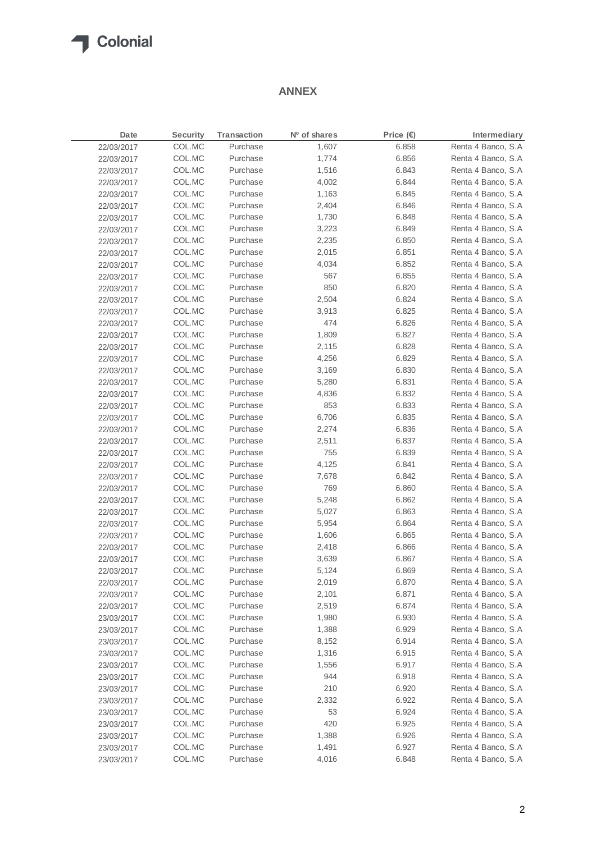# Colonial

### **ANNEX**

| Date       | <b>Security</b> | Transaction | Nº of shares | Price $(E)$ | Intermediary        |
|------------|-----------------|-------------|--------------|-------------|---------------------|
| 22/03/2017 | COL.MC          | Purchase    | 1,607        | 6.858       | Renta 4 Banco, S.A  |
| 22/03/2017 | COL.MC          | Purchase    | 1,774        | 6.856       | Renta 4 Banco, S.A  |
| 22/03/2017 | COL.MC          | Purchase    | 1,516        | 6.843       | Renta 4 Banco, S.A  |
| 22/03/2017 | COL.MC          | Purchase    | 4,002        | 6.844       | Renta 4 Banco, S.A  |
| 22/03/2017 | COL.MC          | Purchase    | 1,163        | 6.845       | Renta 4 Banco, S.A  |
| 22/03/2017 | COL.MC          | Purchase    | 2,404        | 6.846       | Renta 4 Banco, S.A  |
| 22/03/2017 | COL.MC          | Purchase    | 1,730        | 6.848       | Renta 4 Banco, S.A  |
| 22/03/2017 | COL.MC          | Purchase    | 3,223        | 6.849       | Renta 4 Banco, S.A  |
| 22/03/2017 | COL.MC          | Purchase    | 2,235        | 6.850       | Renta 4 Banco, S.A  |
| 22/03/2017 | COL.MC          | Purchase    | 2,015        | 6.851       | Renta 4 Banco, S.A  |
| 22/03/2017 | COL.MC          | Purchase    | 4,034        | 6.852       | Renta 4 Banco, S.A  |
| 22/03/2017 | COL.MC          | Purchase    | 567          | 6.855       | Renta 4 Banco, S.A  |
| 22/03/2017 | COL.MC          | Purchase    | 850          | 6.820       | Renta 4 Banco, S.A  |
| 22/03/2017 | COL.MC          | Purchase    | 2,504        | 6.824       | Renta 4 Banco, S.A  |
| 22/03/2017 | COL.MC          | Purchase    | 3,913        | 6.825       | Renta 4 Banco, S.A  |
| 22/03/2017 | COL.MC          | Purchase    | 474          | 6.826       | Renta 4 Banco, S.A  |
| 22/03/2017 | COL.MC          | Purchase    | 1,809        | 6.827       | Renta 4 Banco, S.A  |
| 22/03/2017 | COL.MC          | Purchase    | 2,115        | 6.828       | Renta 4 Banco, S.A  |
| 22/03/2017 | COL.MC          | Purchase    | 4,256        | 6.829       | Renta 4 Banco, S.A  |
| 22/03/2017 | COL.MC          | Purchase    | 3,169        | 6.830       | Renta 4 Banco, S.A  |
| 22/03/2017 | COL.MC          | Purchase    | 5,280        | 6.831       | Renta 4 Banco, S.A  |
| 22/03/2017 | COL.MC          | Purchase    | 4,836        | 6.832       | Renta 4 Banco, S.A  |
| 22/03/2017 | COL.MC          | Purchase    | 853          | 6.833       | Renta 4 Banco, S.A  |
| 22/03/2017 | COL.MC          | Purchase    | 6,706        | 6.835       | Renta 4 Banco, S.A  |
| 22/03/2017 | COL.MC          | Purchase    | 2,274        | 6.836       | Renta 4 Banco, S.A  |
| 22/03/2017 | COL.MC          | Purchase    | 2,511        | 6.837       | Renta 4 Banco, S.A  |
| 22/03/2017 | COL.MC          | Purchase    | 755          | 6.839       | Renta 4 Banco, S.A  |
| 22/03/2017 | COL.MC          | Purchase    | 4,125        | 6.841       | Renta 4 Banco, S.A  |
| 22/03/2017 | COL.MC          | Purchase    | 7,678        | 6.842       | Renta 4 Banco, S.A  |
| 22/03/2017 | COL.MC          | Purchase    | 769          | 6.860       | Renta 4 Banco, S.A  |
| 22/03/2017 | COL.MC          | Purchase    | 5,248        | 6.862       | Renta 4 Banco, S.A  |
| 22/03/2017 | COL.MC          | Purchase    | 5,027        | 6.863       | Renta 4 Banco, S.A  |
| 22/03/2017 | COL.MC          | Purchase    | 5,954        | 6.864       | Renta 4 Banco, S.A  |
| 22/03/2017 | COL.MC          | Purchase    | 1,606        | 6.865       | Renta 4 Banco, S.A  |
| 22/03/2017 | COL.MC          | Purchase    | 2,418        | 6.866       | Renta 4 Banco, S.A  |
| 22/03/2017 | COL.MC          | Purchase    | 3,639        | 6.867       | Renta 4 Banco, S.A  |
| 22/03/2017 | COL.MC          | Purchase    | 5,124        | 6.869       | Renta 4 Banco, S.A  |
| 22/03/2017 | COL.MC          | Purchase    | 2,019        | 6.870       | Renta 4 Banco, S.A  |
| 22/03/2017 | COL.MC          | Purchase    | 2,101        | 6.871       | Renta 4 Banco, S.A  |
| 22/03/2017 | COL.MC          | Purchase    | 2,519        | 6.874       | Renta 4 Banco, S.A  |
| 23/03/2017 | COL.MC          | Purchase    | 1,980        | 6.930       | Renta 4 Banco, S.A. |
| 23/03/2017 | COL.MC          | Purchase    | 1,388        | 6.929       | Renta 4 Banco, S.A  |
| 23/03/2017 | COL.MC          | Purchase    | 8,152        | 6.914       | Renta 4 Banco, S.A  |
| 23/03/2017 | COL.MC          | Purchase    | 1,316        | 6.915       | Renta 4 Banco, S.A  |
| 23/03/2017 | COL.MC          | Purchase    | 1,556        | 6.917       | Renta 4 Banco, S.A  |
| 23/03/2017 | COL.MC          | Purchase    | 944          | 6.918       | Renta 4 Banco, S.A  |
| 23/03/2017 | COL.MC          | Purchase    | 210          | 6.920       | Renta 4 Banco, S.A  |
| 23/03/2017 | COL.MC          | Purchase    | 2,332        | 6.922       | Renta 4 Banco, S.A  |
| 23/03/2017 | COL.MC          | Purchase    | 53           | 6.924       | Renta 4 Banco, S.A  |
| 23/03/2017 | COL.MC          | Purchase    | 420          | 6.925       | Renta 4 Banco, S.A  |
| 23/03/2017 | COL.MC          | Purchase    | 1,388        | 6.926       | Renta 4 Banco, S.A  |
| 23/03/2017 | COL.MC          | Purchase    | 1,491        | 6.927       | Renta 4 Banco, S.A  |
| 23/03/2017 | COL.MC          | Purchase    | 4,016        | 6.848       | Renta 4 Banco, S.A  |